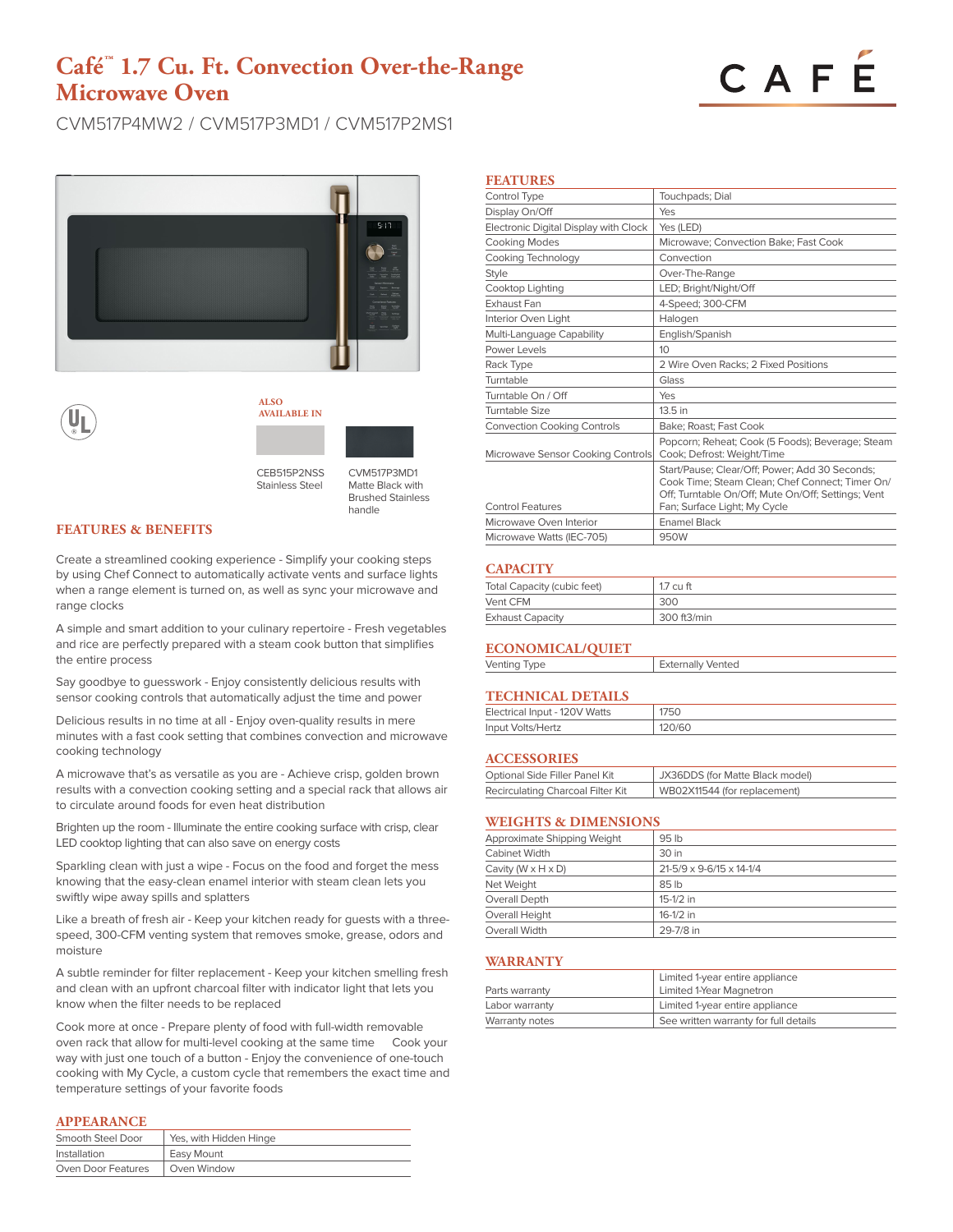# **Café™ 1.7 Cu. Ft. Convection Over-the-Range Microwave Oven**

# CAFE

CVM517P4MW2 / CVM517P3MD1 / CVM517P2MS1







CEB515P2NSS Stainless Steel

CVM517P3MD1 Matte Black with Brushed Stainless handle

# **FEATURES & BENEFITS**

Create a streamlined cooking experience - Simplify your cooking steps by using Chef Connect to automatically activate vents and surface lights when a range element is turned on, as well as sync your microwave and range clocks

A simple and smart addition to your culinary repertoire - Fresh vegetables and rice are perfectly prepared with a steam cook button that simplifies the entire process

Say goodbye to guesswork - Enjoy consistently delicious results with sensor cooking controls that automatically adjust the time and power

Delicious results in no time at all - Enjoy oven-quality results in mere minutes with a fast cook setting that combines convection and microwave cooking technology

A microwave that's as versatile as you are - Achieve crisp, golden brown results with a convection cooking setting and a special rack that allows air to circulate around foods for even heat distribution

Brighten up the room - Illuminate the entire cooking surface with crisp, clear LED cooktop lighting that can also save on energy costs

Sparkling clean with just a wipe - Focus on the food and forget the mess knowing that the easy-clean enamel interior with steam clean lets you swiftly wipe away spills and splatters

Like a breath of fresh air - Keep your kitchen ready for guests with a threespeed, 300-CFM venting system that removes smoke, grease, odors and moisture

A subtle reminder for filter replacement - Keep your kitchen smelling fresh and clean with an upfront charcoal filter with indicator light that lets you know when the filter needs to be replaced

Cook more at once - Prepare plenty of food with full-width removable oven rack that allow for multi-level cooking at the same time Cook your way with just one touch of a button - Enjoy the convenience of one-touch cooking with My Cycle, a custom cycle that remembers the exact time and temperature settings of your favorite foods

#### **APPEARANCE**

| Smooth Steel Door  | Yes, with Hidden Hinge |  |
|--------------------|------------------------|--|
| Installation       | Easy Mount             |  |
| Oven Door Features | Oven Window            |  |

|--|

| Control Type                          | Touchpads; Dial                                                                                                                                                                         |
|---------------------------------------|-----------------------------------------------------------------------------------------------------------------------------------------------------------------------------------------|
| Display On/Off                        | Yes                                                                                                                                                                                     |
| Electronic Digital Display with Clock | Yes (LED)                                                                                                                                                                               |
| <b>Cooking Modes</b>                  | Microwave; Convection Bake; Fast Cook                                                                                                                                                   |
| Cooking Technology                    | Convection                                                                                                                                                                              |
| <b>Style</b>                          | Over-The-Range                                                                                                                                                                          |
| Cooktop Lighting                      | LED; Bright/Night/Off                                                                                                                                                                   |
| Exhaust Fan                           | 4-Speed; 300-CFM                                                                                                                                                                        |
| Interior Oven Light                   | Halogen                                                                                                                                                                                 |
| Multi-Language Capability             | English/Spanish                                                                                                                                                                         |
| Power Levels                          | 10                                                                                                                                                                                      |
| Rack Type                             | 2 Wire Oven Racks; 2 Fixed Positions                                                                                                                                                    |
| Turntable                             | Glass                                                                                                                                                                                   |
| Turntable On / Off                    | Yes                                                                                                                                                                                     |
| Turntable Size                        | 13.5 in                                                                                                                                                                                 |
| <b>Convection Cooking Controls</b>    | Bake: Roast: Fast Cook                                                                                                                                                                  |
| Microwave Sensor Cooking Controls     | Popcorn; Reheat; Cook (5 Foods); Beverage; Steam<br>Cook; Defrost: Weight/Time                                                                                                          |
| <b>Control Features</b>               | Start/Pause; Clear/Off; Power; Add 30 Seconds;<br>Cook Time; Steam Clean; Chef Connect; Timer On/<br>Off; Turntable On/Off; Mute On/Off; Settings; Vent<br>Fan; Surface Light; My Cycle |
| Microwave Oven Interior               | <b>Enamel Black</b>                                                                                                                                                                     |
| Microwave Watts (IEC-705)             | 950W                                                                                                                                                                                    |

# **CAPACITY**

| Total Capacity (cubic feet) | $1.7 \mathrm{cm}$ ft |
|-----------------------------|----------------------|
| Vent CFM                    | 300                  |
| <b>Exhaust Capacity</b>     | 300 ft3/min          |

### **ECONOMICAL/QUIET**

| Venting Type | <b>Externally Vented</b> |
|--------------|--------------------------|
|              |                          |

# **TECHNICAL DETAILS**

| Electrical Input - 120V Watts | 1750   |
|-------------------------------|--------|
| Input Volts/Hertz             | 120/60 |

#### **ACCESSORIES**

| Optional Side Filler Panel Kit    | JX36DDS (for Matte Black model) |
|-----------------------------------|---------------------------------|
| Recirculating Charcoal Filter Kit | WB02X11544 (for replacement)    |

# **WEIGHTS & DIMENSIONS**

| Approximate Shipping Weight      | 95 lb                    |
|----------------------------------|--------------------------|
| Cabinet Width                    | 30 in                    |
| Cavity (W $\times$ H $\times$ D) | 21-5/9 x 9-6/15 x 14-1/4 |
| Net Weight                       | 85 lb                    |
| Overall Depth                    | $15-1/2$ in              |
| Overall Height                   | $16-1/2$ in              |
| Overall Width                    | 29-7/8 in                |
|                                  |                          |

### **WARRANTY**

|                | Limited 1-year entire appliance       |
|----------------|---------------------------------------|
| Parts warranty | Limited 1-Year Magnetron              |
| Labor warranty | Limited 1-year entire appliance       |
| Warranty notes | See written warranty for full details |